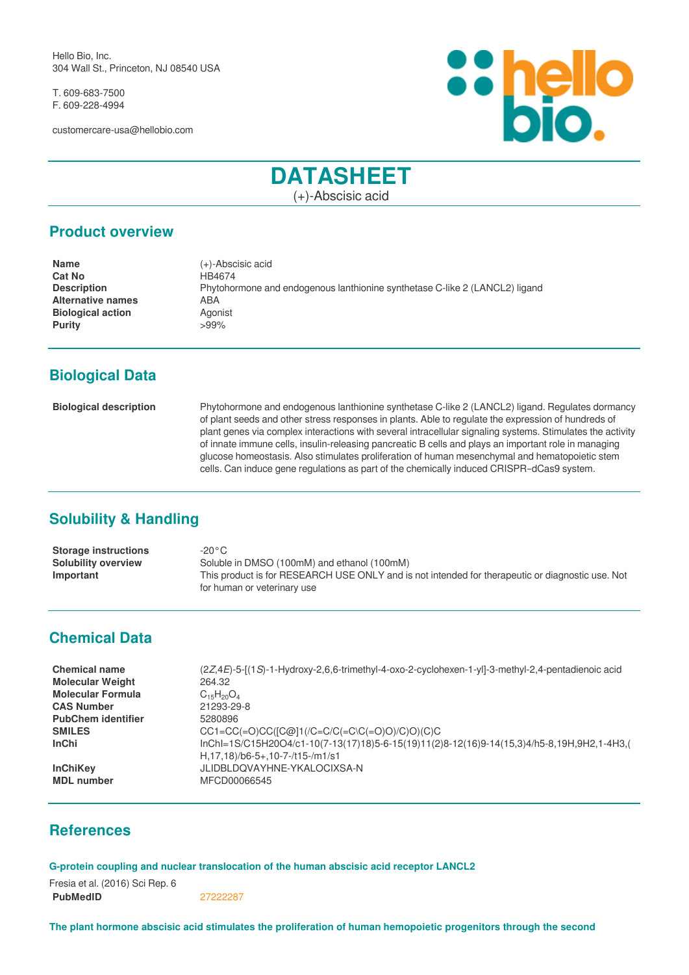Hello Bio, Inc. 304 Wall St., Princeton, NJ 08540 USA

T. 609-683-7500 F. 609-228-4994

customercare-usa@hellobio.com



# **DATASHEET**

(+)-Abscisic acid

## **Product overview**

| <b>Name</b>              | $(+)$ -Abscisic acid                                                        |
|--------------------------|-----------------------------------------------------------------------------|
| <b>Cat No</b>            | HB4674                                                                      |
| <b>Description</b>       | Phytohormone and endogenous lanthionine synthetase C-like 2 (LANCL2) ligand |
| <b>Alternative names</b> | ABA                                                                         |
| <b>Biological action</b> | Agonist                                                                     |
| <b>Purity</b>            | >99%                                                                        |
|                          |                                                                             |

# **Biological Data**

**Biological description** Phytohormone and endogenous lanthionine synthetase C-like 2 (LANCL2) ligand. Regulates dormancy of plant seeds and other stress responses in plants. Able to regulate the expression of hundreds of plant genes via complex interactions with several intracellular signaling systems. Stimulates the activity of innate immune cells, insulin-releasing pancreatic Β cells and plays an important role in managing glucose homeostasis. Also stimulates proliferation of human mesenchymal and hematopoietic stem cells. Can induce gene regulations as part of the chemically induced CRISPR–dCas9 system.

# **Solubility & Handling**

| <b>Storage instructions</b> | -20°C                                                                                            |
|-----------------------------|--------------------------------------------------------------------------------------------------|
| <b>Solubility overview</b>  | Soluble in DMSO (100mM) and ethanol (100mM)                                                      |
| Important                   | This product is for RESEARCH USE ONLY and is not intended for therapeutic or diagnostic use. Not |
|                             | for human or veterinary use                                                                      |

# **Chemical Data**

| <b>Chemical name</b>      | (2Z,4E)-5-[(1S)-1-Hydroxy-2,6,6-trimethyl-4-oxo-2-cyclohexen-1-yl]-3-methyl-2,4-pentadienoic acid                                    |
|---------------------------|--------------------------------------------------------------------------------------------------------------------------------------|
| <b>Molecular Weight</b>   | 264.32                                                                                                                               |
| <b>Molecular Formula</b>  | $C_{15}H_{20}O_4$                                                                                                                    |
| <b>CAS Number</b>         | 21293-29-8                                                                                                                           |
| <b>PubChem identifier</b> | 5280896                                                                                                                              |
| <b>SMILES</b>             | $CC1 = CC (=O)CC/[C@]1//C = C/C (=C\C (-O)O)/(C)O/(C)C$                                                                              |
| <b>InChi</b>              | $InChI=1S/C15H20O4/c1-10(7-13(17)18)5-6-15(19)11(2)8-12(16)9-14(15,3)4/h5-8,19H,9H2,1-4H3,$<br>$H$ , 17, 18)/b6-5+, 10-7-/t15-/m1/s1 |
| <b>InChiKev</b>           | JLIDBLDQVAYHNE-YKALOCIXSA-N                                                                                                          |
| <b>MDL</b> number         | MFCD00066545                                                                                                                         |

### **References**

#### **G-protein coupling and nuclear translocation of the human abscisic acid receptor LANCL2**

Fresia et al. (2016) Sci Rep. 6 **PubMedID** [27222287](https://pubmed.ncbi.nlm.nih.gov/27222287/)

**The plant hormone abscisic acid stimulates the proliferation of human hemopoietic progenitors through the second**